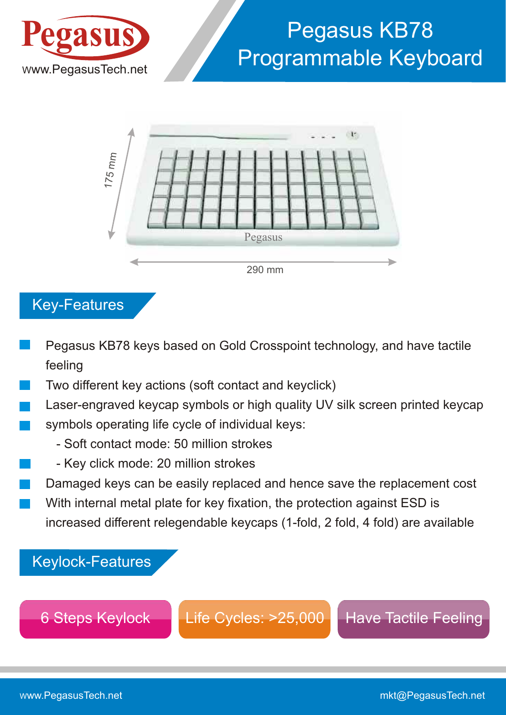

# WWW.PegasusTech.net Programmable Keyboard Pegasus KB78



Key-Features

- Pegasus KB78 keys based on Gold Crosspoint technology, and have tactile feeling
- Two different key actions (soft contact and keyclick)
- Laser-engraved keycap symbols or high quality UV silk screen printed keycap symbols operating life cycle of individual keys:
	- Soft contact mode: 50 million strokes
	- Key click mode: 20 million strokes
- Damaged keys can be easily replaced and hence save the replacement cost With internal metal plate for key fixation, the protection against ESD is increased different relegendable keycaps (1-fold, 2 fold, 4 fold) are available

Keylock-Features

6 Steps Keylock | Life Cycles: >25,000 | Have Tactile Feeling